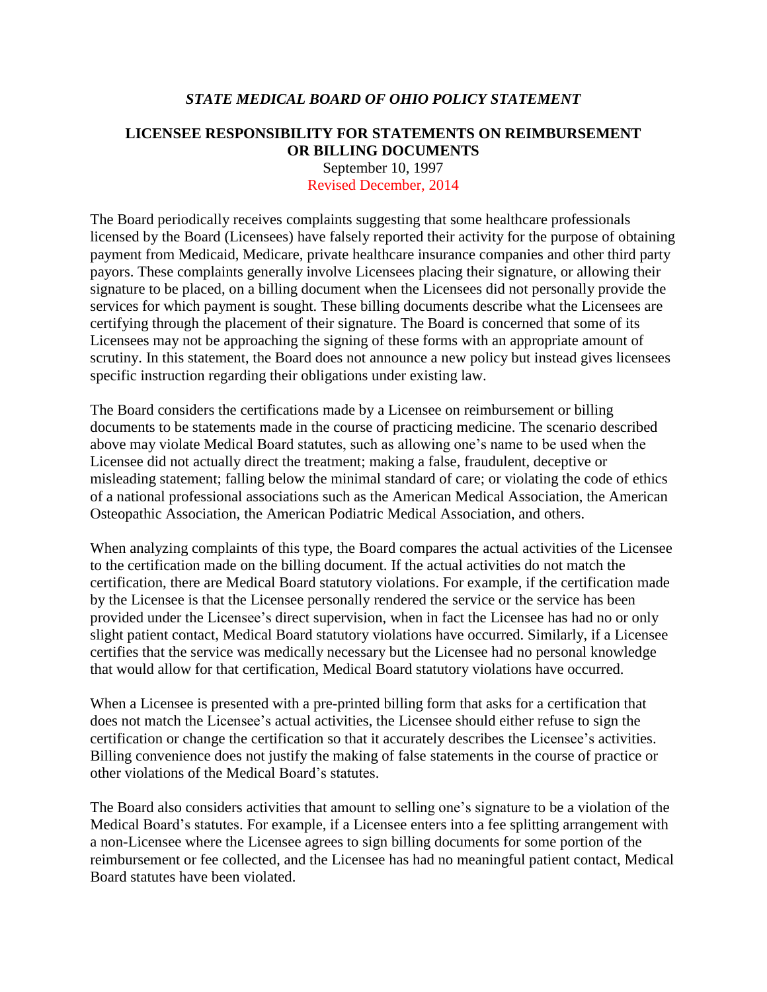## *STATE MEDICAL BOARD OF OHIO POLICY STATEMENT*

## **LICENSEE RESPONSIBILITY FOR STATEMENTS ON REIMBURSEMENT OR BILLING DOCUMENTS**

September 10, 1997 Revised December, 2014

The Board periodically receives complaints suggesting that some healthcare professionals licensed by the Board (Licensees) have falsely reported their activity for the purpose of obtaining payment from Medicaid, Medicare, private healthcare insurance companies and other third party payors. These complaints generally involve Licensees placing their signature, or allowing their signature to be placed, on a billing document when the Licensees did not personally provide the services for which payment is sought. These billing documents describe what the Licensees are certifying through the placement of their signature. The Board is concerned that some of its Licensees may not be approaching the signing of these forms with an appropriate amount of scrutiny. In this statement, the Board does not announce a new policy but instead gives licensees specific instruction regarding their obligations under existing law.

The Board considers the certifications made by a Licensee on reimbursement or billing documents to be statements made in the course of practicing medicine. The scenario described above may violate Medical Board statutes, such as allowing one's name to be used when the Licensee did not actually direct the treatment; making a false, fraudulent, deceptive or misleading statement; falling below the minimal standard of care; or violating the code of ethics of a national professional associations such as the American Medical Association, the American Osteopathic Association, the American Podiatric Medical Association, and others.

When analyzing complaints of this type, the Board compares the actual activities of the Licensee to the certification made on the billing document. If the actual activities do not match the certification, there are Medical Board statutory violations. For example, if the certification made by the Licensee is that the Licensee personally rendered the service or the service has been provided under the Licensee's direct supervision, when in fact the Licensee has had no or only slight patient contact, Medical Board statutory violations have occurred. Similarly, if a Licensee certifies that the service was medically necessary but the Licensee had no personal knowledge that would allow for that certification, Medical Board statutory violations have occurred.

When a Licensee is presented with a pre-printed billing form that asks for a certification that does not match the Licensee's actual activities, the Licensee should either refuse to sign the certification or change the certification so that it accurately describes the Licensee's activities. Billing convenience does not justify the making of false statements in the course of practice or other violations of the Medical Board's statutes.

The Board also considers activities that amount to selling one's signature to be a violation of the Medical Board's statutes. For example, if a Licensee enters into a fee splitting arrangement with a non-Licensee where the Licensee agrees to sign billing documents for some portion of the reimbursement or fee collected, and the Licensee has had no meaningful patient contact, Medical Board statutes have been violated.